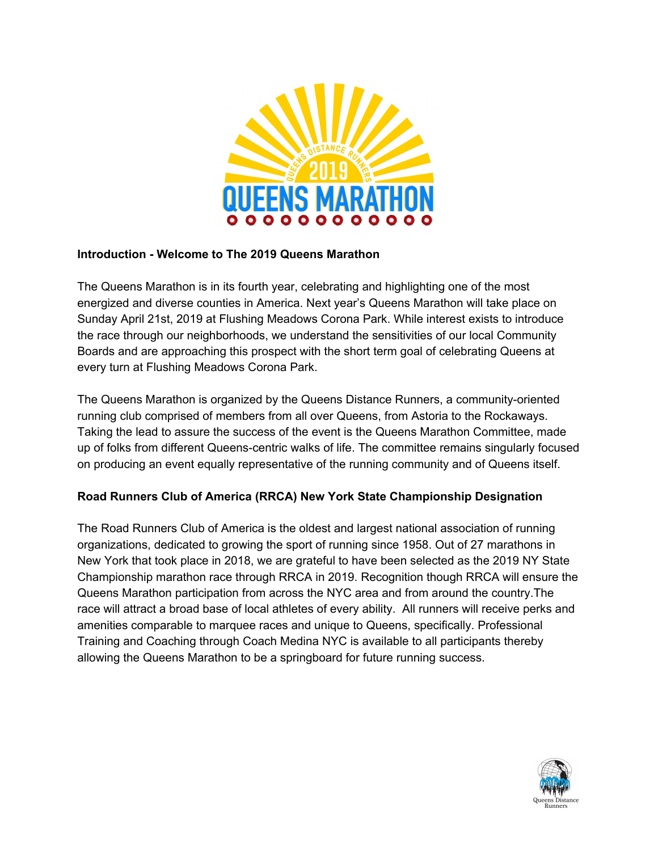

### **Introduction - Welcome to The 2019 Queens Marathon**

The Queens Marathon is in its fourth year, celebrating and highlighting one of the most energized and diverse counties in America. Next year's Queens Marathon will take place on Sunday April 21st, 2019 at Flushing Meadows Corona Park. While interest exists to introduce the race through our neighborhoods, we understand the sensitivities of our local Community Boards and are approaching this prospect with the short term goal of celebrating Queens at every turn at Flushing Meadows Corona Park.

The Queens Marathon is organized by the Queens Distance Runners, a community-oriented running club comprised of members from all over Queens, from Astoria to the Rockaways. Taking the lead to assure the success of the event is the Queens Marathon Committee, made up of folks from different Queens-centric walks of life. The committee remains singularly focused on producing an event equally representative of the running community and of Queens itself.

### **Road Runners Club of America (RRCA) New York State Championship Designation**

The Road Runners Club of America is the oldest and largest national association of running organizations, dedicated to growing the sport of running since 1958. Out of 27 marathons in New York that took place in 2018, we are grateful to have been selected as the 2019 NY State Championship marathon race through RRCA in 2019. Recognition though RRCA will ensure the Queens Marathon participation from across the NYC area and from around the country.The race will attract a broad base of local athletes of every ability. All runners will receive perks and amenities comparable to marquee races and unique to Queens, specifically. Professional Training and Coaching through Coach Medina NYC is available to all participants thereby allowing the Queens Marathon to be a springboard for future running success.

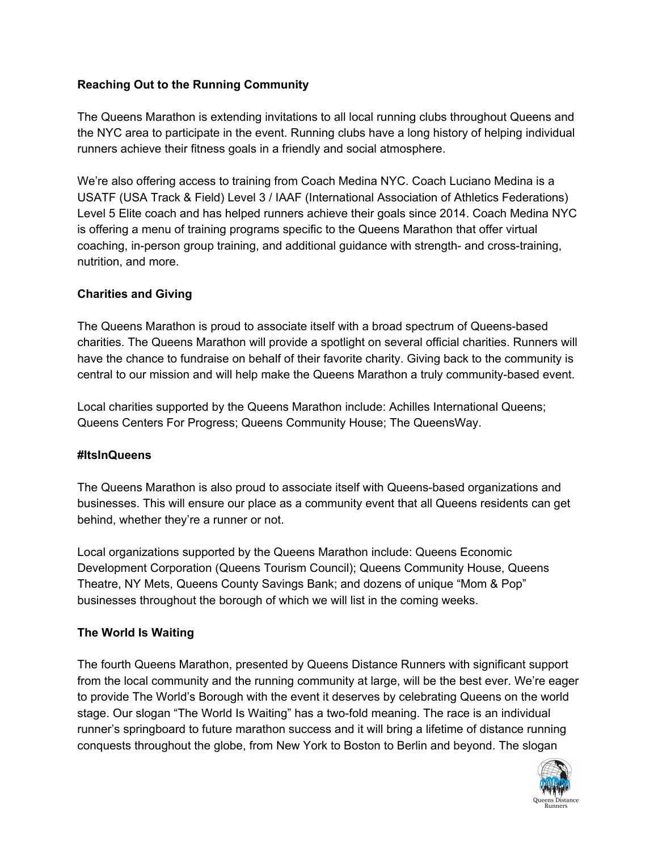## **Reaching Out to the Running Community**

The Queens Marathon is extending invitations to all local running clubs throughout Queens and the NYC area to participate in the event. Running clubs have a long history of helping individual runners achieve their fitness goals in a friendly and social atmosphere.

We're also offering access to training from Coach Medina NYC. Coach Luciano Medina is a USATF (USA Track & Field) Level 3 / IAAF (International Association of Athletics Federations) Level 5 Elite coach and has helped runners achieve their goals since 2014. Coach Medina NYC is offering a menu of training programs specific to the Queens Marathon that offer virtual coaching, in-person group training, and additional guidance with strength- and cross-training, nutrition, and more.

### **Charities and Giving**

The Queens Marathon is proud to associate itself with a broad spectrum of Queens-based charities. The Queens Marathon will provide a spotlight on several official charities. Runners will have the chance to fundraise on behalf of their favorite charity. Giving back to the community is central to our mission and will help make the Queens Marathon a truly community-based event.

Local charities supported by the Queens Marathon include: Achilles International Queens; Queens Centers For Progress; Queens Community House; The QueensWay.

### **#ItsInQueens**

The Queens Marathon is also proud to associate itself with Queens-based organizations and businesses. This will ensure our place as a community event that all Queens residents can get behind, whether they're a runner or not.

Local organizations supported by the Queens Marathon include: Queens Economic Development Corporation (Queens Tourism Council); Queens Community House, Queens Theatre, NY Mets, Queens County Savings Bank; and dozens of unique "Mom & Pop" businesses throughout the borough of which we will list in the coming weeks.

# **The World Is Waiting**

The fourth Queens Marathon, presented by Queens Distance Runners with significant support from the local community and the running community at large, will be the best ever. We're eager to provide The World's Borough with the event it deserves by celebrating Queens on the world stage. Our slogan "The World Is Waiting" has a two-fold meaning. The race is an individual runner's springboard to future marathon success and it will bring a lifetime of distance running conquests throughout the globe, from New York to Boston to Berlin and beyond. The slogan